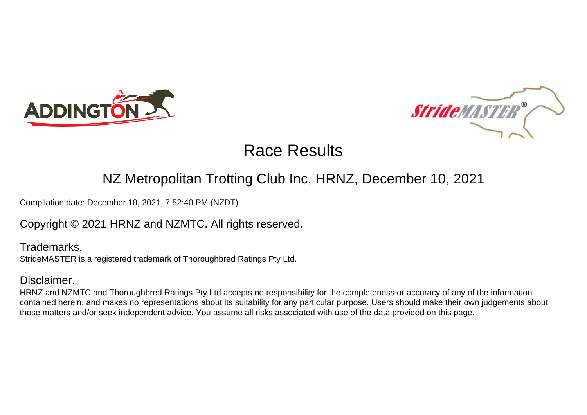



#### NZ Metropolitan Trotting Club Inc, HRNZ, December 10, 2021

Compilation date: December 10, 2021, 7:52:40 PM (NZDT)

Copyright © 2021 HRNZ and NZMTC. All rights reserved.

Trademarks. StrideMASTER is a registered trademark of Thoroughbred Ratings Pty Ltd.

#### Disclaimer.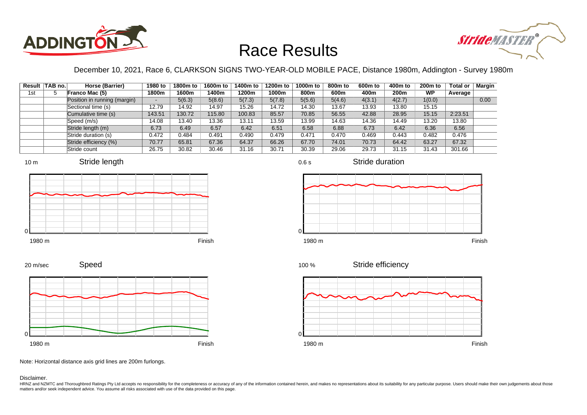



December 10, 2021, Race 6, CLARKSON SIGNS TWO-YEAR-OLD MOBILE PACE, Distance 1980m, Addington - Survey 1980m

|     | Result TAB no. | Horse (Barrier)              | 1980 to | 1800m to | 1600m to | 1400m to | 1200m to | 1000m to | 800m to | 600 <sub>m</sub> to | 400m to | 200 <sub>m</sub> to | <b>Total or</b> | Margin |
|-----|----------------|------------------------------|---------|----------|----------|----------|----------|----------|---------|---------------------|---------|---------------------|-----------------|--------|
| 1st |                | Franco Mac (5)               | 1800m   | 1600m    | 1400m    | 1200m    | 1000m    | 800m     | 600m    | 400m                | 200m    | <b>WP</b>           | Average         |        |
|     |                | Position in running (margin) | -       | 5(6.3)   | 5(8.6)   | 5(7.3)   | 5(7.8)   | 5(5.6)   | 5(4.6)  | 4(3.1)              | 4(2.7)  | 1(0.0)              |                 | 0.00   |
|     |                | Sectional time (s)           | 12.79   | 14.92    | 14.97    | 15.26    | 14.72    | 14.30    | 13.67   | 13.93               | 13.80   | 15.15               |                 |        |
|     |                | Cumulative time (s)          | 143.51  | 130.72   | 115.80   | 100.83   | 85.57    | 70.85    | 56.55   | 42.88               | 28.95   | 15.15               | 2:23.51         |        |
|     |                | Speed (m/s)                  | 14.08   | 13.40    | 13.36    | 13.11    | 13.59    | 13.99    | 14.63   | 14.36               | 14.49   | 13.20               | 13.80           |        |
|     |                | Stride length (m)            | 6.73    | 6.49     | 6.57     | 6.42     | 6.51     | 6.58     | 6.88    | 6.73                | 6.42    | 6.36                | 6.56            |        |
|     |                | Stride duration (s)          | 0.472   | 0.484    | 0.491    | 0.490    | 0.479    | 0.471    | 0.470   | 0.469               | 0.443   | 0.482               | 0.476           |        |
|     |                | Stride efficiency (%)        | 70.77   | 65.81    | 67.36    | 64.37    | 66.26    | 67.70    | 74.01   | 70.73               | 64.42   | 63.27               | 67.32           |        |
|     |                | Stride count                 | 26.75   | 30.82    | 30.46    | 31.16    | 30.71    | 30.39    | 29.06   | 29.73               | 31.15   | 31.43               | 301.66          |        |













Speed 20 m/sec



Note: Horizontal distance axis grid lines are 200m furlongs.

Disclaimer.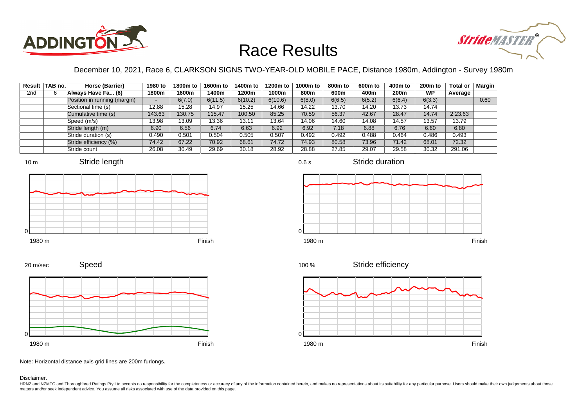



December 10, 2021, Race 6, CLARKSON SIGNS TWO-YEAR-OLD MOBILE PACE, Distance 1980m, Addington - Survey 1980m

|                 | Result TAB no. | Horse (Barrier)              | 1980 to | 1800m to | 1600m to | 1400m to | 1200m to | 1000m to | 800m to | 600 <sub>m</sub> to | 400m to | 200 <sub>m</sub> to | <b>Total or</b> | <b>Margin</b> |
|-----------------|----------------|------------------------------|---------|----------|----------|----------|----------|----------|---------|---------------------|---------|---------------------|-----------------|---------------|
| 2 <sub>nd</sub> |                | Always Have Fa (6)           | 1800m   | 1600m    | 1400m    | 1200m    | 1000m    | 800m     | 600m    | 400m                | 200m    | <b>WP</b>           | Average         |               |
|                 |                | Position in running (margin) | -       | 6(7.0)   | 6(11.5)  | 6(10.2)  | 6(10.6)  | 6(8.0)   | 6(6.5)  | 6(5.2)              | 6(6.4)  | 6(3.3)              |                 | 0.60          |
|                 |                | Sectional time (s)           | 12.88   | 15.28    | 14.97    | 15.25    | 14.66    | 14.22    | 13.70   | 14.20               | 13.73   | 14.74               |                 |               |
|                 |                | Cumulative time (s)          | 143.63  | 130.75   | 115.47   | 100.50   | 85.25    | 70.59    | 56.37   | 42.67               | 28.47   | 14.74               | 2:23.63         |               |
|                 |                | Speed (m/s)                  | 13.98   | 13.09    | 13.36    | 13.11    | 13.64    | 14.06    | 14.60   | 14.08               | 14.57   | 13.57               | 13.79           |               |
|                 |                | Stride length (m)            | 6.90    | 6.56     | 6.74     | 6.63     | 6.92     | 6.92     | 7.18    | 6.88                | 6.76    | 6.60                | 6.80            |               |
|                 |                | Stride duration (s)          | 0.490   | 0.501    | 0.504    | 0.505    | 0.507    | 0.492    | 0.492   | 0.488               | 0.464   | 0.486               | 0.493           |               |
|                 |                | Stride efficiency (%)        | 74.42   | 67.22    | 70.92    | 68.61    | 74.72    | 74.93    | 80.58   | 73.96               | 71.42   | 68.01               | 72.32           |               |
|                 |                | Stride count                 | 26.08   | 30.49    | 29.69    | 30.18    | 28.92    | 28.88    | 27.85   | 29.07               | 29.58   | 30.32               | 291.06          |               |







0.6 s







Speed 20 m/sec



Note: Horizontal distance axis grid lines are 200m furlongs.

Disclaimer.

HRNZ and NZMTC and Thoroughbred Ratings Pty Ltd accepts no responsibility for the completeness or accuracy of any of the information contained herein, and makes no representations about its suitability for any particular p matters and/or seek independent advice. You assume all risks associated with use of the data provided on this page.

Stride duration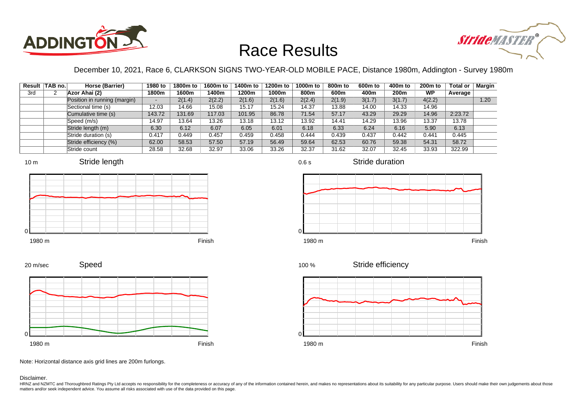



December 10, 2021, Race 6, CLARKSON SIGNS TWO-YEAR-OLD MOBILE PACE, Distance 1980m, Addington - Survey 1980m

|     | Result   TAB no. | Horse (Barrier)              | 1980 to                  | 1800m to | 1600m to | 1400m to | 1200m to | 1000m to | 800m to | 600 <sub>m</sub> to | 400m to          | $200m$ to | <b>Total or</b> | Margin |
|-----|------------------|------------------------------|--------------------------|----------|----------|----------|----------|----------|---------|---------------------|------------------|-----------|-----------------|--------|
| 3rd |                  | Azor Ahai (2)                | 1800m                    | 1600m    | 1400m    | 1200m    | 1000m    | 800m     | 600m    | 400m                | 200 <sub>m</sub> | <b>WP</b> | Average         |        |
|     |                  | Position in running (margin) | $\overline{\phantom{a}}$ | 2(1.4)   | 2(2.2)   | 2(1.6)   | 2(1.6)   | 2(2.4)   | 2(1.9)  | 3(1.7)              | 3(1.7)           | 4(2.2)    |                 | 1.20   |
|     |                  | Sectional time (s)           | 12.03                    | 14.66    | 15.08    | 15.17    | 15.24    | 14.37    | 13.88   | 14.00               | 14.33            | 14.96     |                 |        |
|     |                  | Cumulative time (s)          | 143.72                   | 131.69   | 117.03   | 101.95   | 86.78    | 71.54    | 57.17   | 43.29               | 29.29            | 14.96     | 2:23.72         |        |
|     |                  | Speed (m/s)                  | 14.97                    | 13.64    | 13.26    | 13.18    | 13.12    | 13.92    | 14.41   | 14.29               | 13.96            | 13.37     | 13.78           |        |
|     |                  | Stride length (m)            | 6.30                     | 6.12     | 6.07     | 6.05     | 6.01     | 6.18     | 6.33    | 6.24                | 6.16             | 5.90      | 6.13            |        |
|     |                  | Stride duration (s)          | 0.417                    | 0.449    | 0.457    | 0.459    | 0.458    | 0.444    | 0.439   | 0.437               | 0.442            | 0.441     | 0.445           |        |
|     |                  | Stride efficiency (%)        | 62.00                    | 58.53    | 57.50    | 57.19    | 56.49    | 59.64    | 62.53   | 60.76               | 59.38            | 54.31     | 58.72           |        |
|     |                  | Stride count                 | 28.58                    | 32.68    | 32.97    | 33.06    | 33.26    | 32.37    | 31.62   | 32.07               | 32.45            | 33.93     | 322.99          |        |

















Speed 20 m/sec



Note: Horizontal distance axis grid lines are 200m furlongs.

Disclaimer.

HRNZ and NZMTC and Thoroughbred Ratings Pty Ltd accepts no responsibility for the completeness or accuracy of any of the information contained herein, and makes no representations about its suitability for any particular p matters and/or seek independent advice. You assume all risks associated with use of the data provided on this page.

0.6 s

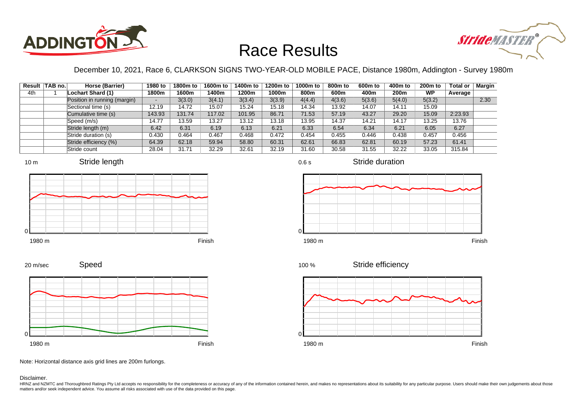



December 10, 2021, Race 6, CLARKSON SIGNS TWO-YEAR-OLD MOBILE PACE, Distance 1980m, Addington - Survey 1980m

|     | Result TAB no. | Horse (Barrier)              | 1980 to | 1800m to | 1600m to | 1400m to | 1200m to | 1000m to | 800m to | 600 <sub>m</sub> to | 400m to | 200 <sub>m</sub> to | <b>Total or</b> | Margin |
|-----|----------------|------------------------------|---------|----------|----------|----------|----------|----------|---------|---------------------|---------|---------------------|-----------------|--------|
| 4th |                | Lochart Shard (1)            | 1800m   | 1600m    | 1400m    | 1200m    | 1000m    | 800m     | 600m    | 400m                | 200m    | <b>WP</b>           | Average         |        |
|     |                | Position in running (margin) | -       | 3(3.0)   | 3(4.1)   | 3(3.4)   | 3(3.9)   | 4(4.4)   | 4(3.6)  | 5(3.6)              | 5(4.0)  | 5(3.2)              |                 | 2.30   |
|     |                | Sectional time (s)           | 12.19   | 14.72    | 15.07    | 15.24    | 15.18    | 14.34    | 13.92   | 14.07               | 14.11   | 15.09               |                 |        |
|     |                | Cumulative time (s)          | 143.93  | 131.74   | 117.02   | 101.95   | 86.71    | 71.53    | 57.19   | 43.27               | 29.20   | 15.09               | 2:23.93         |        |
|     |                | Speed (m/s)                  | 14.77   | 13.59    | 13.27    | 13.12    | 13.18    | 13.95    | 14.37   | 14.21               | 14.17   | 13.25               | 13.76           |        |
|     |                | Stride length (m)            | 6.42    | 6.31     | 6.19     | 6.13     | 6.21     | 6.33     | 6.54    | 6.34                | 6.21    | 6.05                | 6.27            |        |
|     |                | Stride duration (s)          | 0.430   | 0.464    | 0.467    | 0.468    | 0.472    | 0.454    | 0.455   | 0.446               | 0.438   | 0.457               | 0.456           |        |
|     |                | Stride efficiency (%)        | 64.39   | 62.18    | 59.94    | 58.80    | 60.31    | 62.61    | 66.83   | 62.81               | 60.19   | 57.23               | 61.41           |        |
|     |                | Stride count                 | 28.04   | 31.71    | 32.29    | 32.61    | 32.19    | 31.60    | 30.58   | 31.55               | 32.22   | 33.05               | 315.84          |        |









0.6 s



Stride duration



 $\Omega$ 





Note: Horizontal distance axis grid lines are 200m furlongs.

Disclaimer.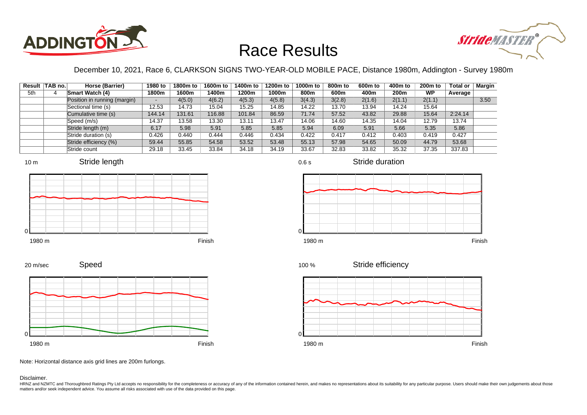



December 10, 2021, Race 6, CLARKSON SIGNS TWO-YEAR-OLD MOBILE PACE, Distance 1980m, Addington - Survey 1980m

|     | Result TAB no. | Horse (Barrier)              | 1980 to                  | 1800m to | 1600m to | 1400m to | 1200m to | 1000m to | 800m to | 600 <sub>m</sub> to | 400m to | 200 <sub>m</sub> to | <b>Total or</b> | Margin |
|-----|----------------|------------------------------|--------------------------|----------|----------|----------|----------|----------|---------|---------------------|---------|---------------------|-----------------|--------|
| 5th |                | <b>Smart Watch (4)</b>       | 1800m                    | 1600m    | 1400m    | 1200m    | 1000m    | 800m     | 600m    | 400m                | 200m    | <b>WP</b>           | Average         |        |
|     |                | Position in running (margin) | $\overline{\phantom{a}}$ | 4(5.0)   | 4(6.2)   | 4(5.3)   | 4(5.8)   | 3(4.3)   | 3(2.8)  | 2(1.6)              | 2(1.1)  | 2(1.1)              |                 | 3.50   |
|     |                | Sectional time (s)           | 12.53                    | 14.73    | 15.04    | 15.25    | 14.85    | 14.22    | 13.70   | 13.94               | 14.24   | 15.64               |                 |        |
|     |                | Cumulative time (s)          | 144.14                   | 131.61   | 116.88   | 101.84   | 86.59    | 71.74    | 57.52   | 43.82               | 29.88   | 15.64               | 2:24.14         |        |
|     |                | Speed (m/s)                  | 14.37                    | 13.58    | 13.30    | 13.11    | 13.47    | 14.06    | 14.60   | 14.35               | 14.04   | 12.79               | 13.74           |        |
|     |                | Stride length (m)            | 6.17                     | 5.98     | 5.91     | 5.85     | 5.85     | 5.94     | 6.09    | 5.91                | 5.66    | 5.35                | 5.86            |        |
|     |                | Stride duration (s)          | 0.426                    | 0.440    | 0.444    | 0.446    | 0.434    | 0.422    | 0.417   | 0.412               | 0.403   | 0.419               | 0.427           |        |
|     |                | Stride efficiency (%)        | 59.44                    | 55.85    | 54.58    | 53.52    | 53.48    | 55.13    | 57.98   | 54.65               | 50.09   | 44.79               | 53.68           |        |
|     |                | Stride count                 | 29.18                    | 33.45    | 33.84    | 34.18    | 34.19    | 33.67    | 32.83   | 33.82               | 35.32   | 37.35               | 337.83          |        |











Stride duration



Stride efficiency 100 %



Note: Horizontal distance axis grid lines are 200m furlongs.

#### Disclaimer.